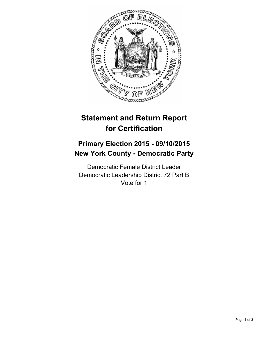

# **Statement and Return Report for Certification**

## **Primary Election 2015 - 09/10/2015 New York County - Democratic Party**

Democratic Female District Leader Democratic Leadership District 72 Part B Vote for 1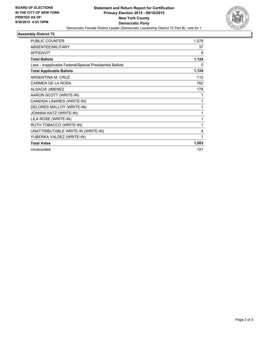

## **Assembly District 72**

| <b>PUBLIC COUNTER</b>                                    | 1,078 |
|----------------------------------------------------------|-------|
| ABSENTEE/MILITARY                                        | 37    |
| <b>AFFIDAVIT</b>                                         | 9     |
| <b>Total Ballots</b>                                     | 1,124 |
| Less - Inapplicable Federal/Special Presidential Ballots | 0     |
| <b>Total Applicable Ballots</b>                          | 1,124 |
| ARGENTINA M. CRUZ                                        | 112   |
| <b>CARMEN DE LA ROSA</b>                                 | 702   |
| <b>ALSACIA JIMENEZ</b>                                   | 178   |
| AARON SCOTT (WRITE-IN)                                   | 1     |
| CANDIDA LINARES (WRITE-IN)                               | 1     |
| DELORES MALLOY (WRITE-IN)                                | 1     |
| JOANNA KATZ (WRITE-IN)                                   | 1     |
| LILA ROSE (WRITE-IN)                                     | 1     |
| RUTH TOBACCO (WRITE-IN)                                  | 1     |
| UNATTRIBUTABLE WRITE-IN (WRITE-IN)                       | 4     |
| YUBERKA VALDEZ (WRITE-IN)                                | 1     |
| <b>Total Votes</b>                                       | 1,003 |
| Unrecorded                                               | 121   |